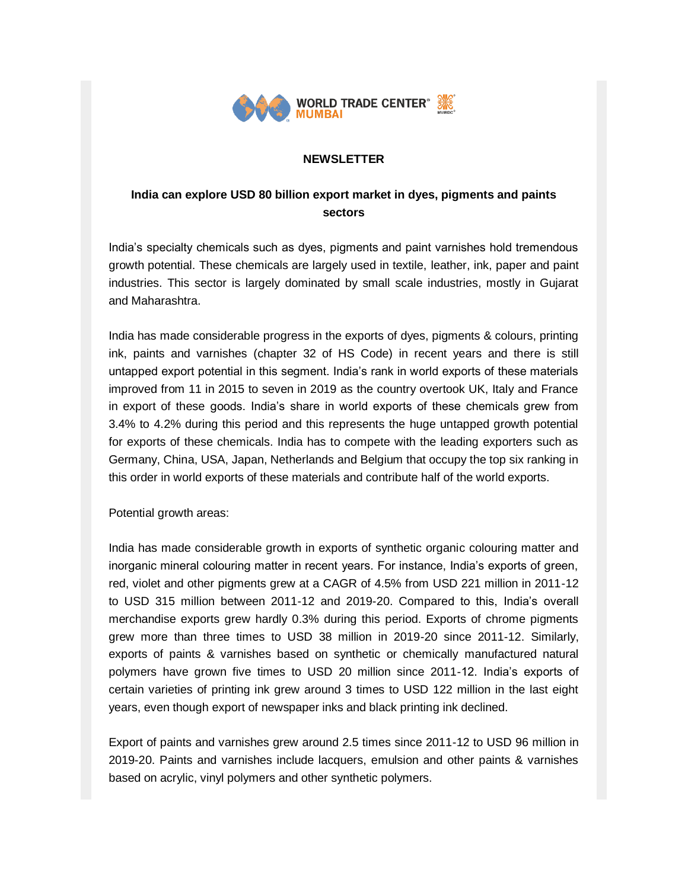

### **NEWSLETTER**

# **India can explore USD 80 billion export market in dyes, pigments and paints sectors**

India's specialty chemicals such as dyes, pigments and paint varnishes hold tremendous growth potential. These chemicals are largely used in textile, leather, ink, paper and paint industries. This sector is largely dominated by small scale industries, mostly in Gujarat and Maharashtra.

India has made considerable progress in the exports of dyes, pigments & colours, printing ink, paints and varnishes (chapter 32 of HS Code) in recent years and there is still untapped export potential in this segment. India's rank in world exports of these materials improved from 11 in 2015 to seven in 2019 as the country overtook UK, Italy and France in export of these goods. India's share in world exports of these chemicals grew from 3.4% to 4.2% during this period and this represents the huge untapped growth potential for exports of these chemicals. India has to compete with the leading exporters such as Germany, China, USA, Japan, Netherlands and Belgium that occupy the top six ranking in this order in world exports of these materials and contribute half of the world exports.

Potential growth areas:

India has made considerable growth in exports of synthetic organic colouring matter and inorganic mineral colouring matter in recent years. For instance, India's exports of green, red, violet and other pigments grew at a CAGR of 4.5% from USD 221 million in 2011-12 to USD 315 million between 2011-12 and 2019-20. Compared to this, India's overall merchandise exports grew hardly 0.3% during this period. Exports of chrome pigments grew more than three times to USD 38 million in 2019-20 since 2011-12. Similarly, exports of paints & varnishes based on synthetic or chemically manufactured natural polymers have grown five times to USD 20 million since 2011-12. India's exports of certain varieties of printing ink grew around 3 times to USD 122 million in the last eight years, even though export of newspaper inks and black printing ink declined.

Export of paints and varnishes grew around 2.5 times since 2011-12 to USD 96 million in 2019-20. Paints and varnishes include lacquers, emulsion and other paints & varnishes based on acrylic, vinyl polymers and other synthetic polymers.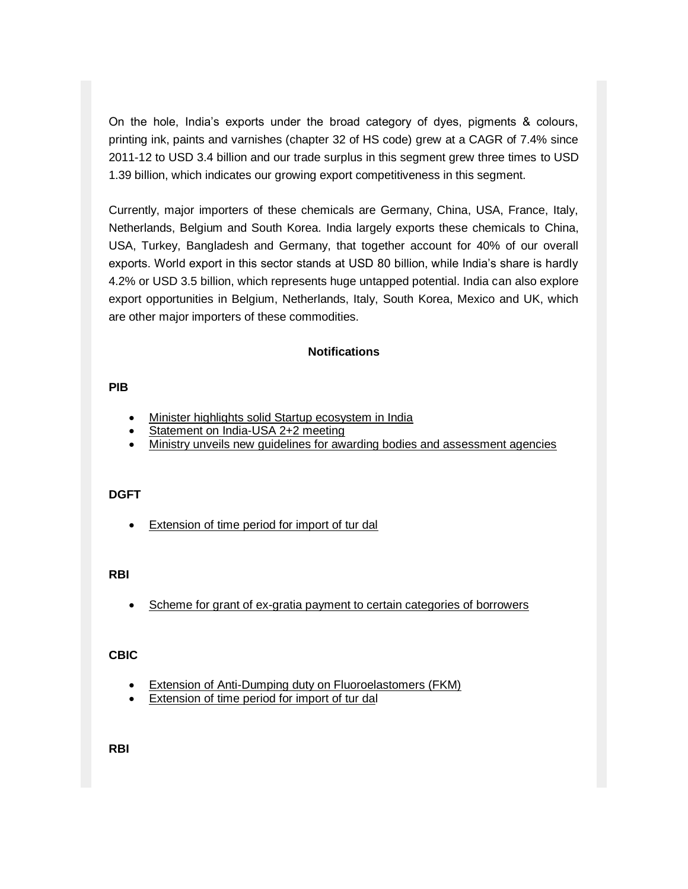On the hole, India's exports under the broad category of dyes, pigments & colours, printing ink, paints and varnishes (chapter 32 of HS code) grew at a CAGR of 7.4% since 2011-12 to USD 3.4 billion and our trade surplus in this segment grew three times to USD 1.39 billion, which indicates our growing export competitiveness in this segment.

Currently, major importers of these chemicals are Germany, China, USA, France, Italy, Netherlands, Belgium and South Korea. India largely exports these chemicals to China, USA, Turkey, Bangladesh and Germany, that together account for 40% of our overall exports. World export in this sector stands at USD 80 billion, while India's share is hardly 4.2% or USD 3.5 billion, which represents huge untapped potential. India can also explore export opportunities in Belgium, Netherlands, Italy, South Korea, Mexico and UK, which are other major importers of these commodities.

## **Notifications**

#### **PIB**

- [Minister highlights solid Startup ecosystem in India](https://list.mg2.mlgnserv.com/track/click?u=3d39bef0aed2d0ed40e6a3dacf9bf882&id=a57c52c3&e=02a4afc680e2b3e1)
- [Statement on India-USA 2+2 meeting](https://list.mg2.mlgnserv.com/track/click?u=3d39bef0aed2d0ed40e6a3dacf9bf882&id=126193c7&e=02a4afc680e2b3e1)
- [Ministry unveils new guidelines for awarding bodies and assessment agencies](https://list.mg2.mlgnserv.com/track/click?u=3d39bef0aed2d0ed40e6a3dacf9bf882&id=ceceb197&e=02a4afc680e2b3e1)

### **DGFT**

[Extension of time period for import of tur dal](https://list.mg2.mlgnserv.com/track/click?u=3d39bef0aed2d0ed40e6a3dacf9bf882&id=79d37093&e=02a4afc680e2b3e1) 

### **RBI**

• Scheme for grant of ex-gratia payment to certain categories of borrowers

### **CBIC**

- [Extension of Anti-Dumping duty on Fluoroelastomers \(FKM\)](https://list.mg2.mlgnserv.com/track/click?u=3d39bef0aed2d0ed40e6a3dacf9bf882&id=17e8f29a&e=02a4afc680e2b3e1)
- [Extension of time period for import of tur dal](https://list.mg2.mlgnserv.com/track/click?u=3d39bef0aed2d0ed40e6a3dacf9bf882&id=79d37093&e=02a4afc680e2b3e1)

**RBI**